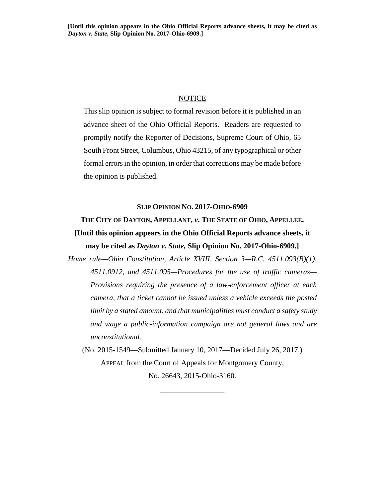#### **NOTICE**

This slip opinion is subject to formal revision before it is published in an advance sheet of the Ohio Official Reports. Readers are requested to promptly notify the Reporter of Decisions, Supreme Court of Ohio, 65 South Front Street, Columbus, Ohio 43215, of any typographical or other formal errors in the opinion, in order that corrections may be made before the opinion is published.

#### **SLIP OPINION NO. 2017-OHIO-6909**

# **THE CITY OF DAYTON, APPELLANT,** *v***. THE STATE OF OHIO, APPELLEE. [Until this opinion appears in the Ohio Official Reports advance sheets, it may be cited as** *Dayton v. State,* **Slip Opinion No. 2017-Ohio-6909.]**

*Home rule—Ohio Constitution, Article XVIII, Section 3—R.C. 4511.093(B)(1), 4511.0912, and 4511.095—Procedures for the use of traffic cameras— Provisions requiring the presence of a law-enforcement officer at each camera, that a ticket cannot be issued unless a vehicle exceeds the posted limit by a stated amount, and that municipalities must conduct a safety study and wage a public-information campaign are not general laws and are unconstitutional.* 

(No. 2015-1549—Submitted January 10, 2017—Decided July 26, 2017.) APPEAL from the Court of Appeals for Montgomery County, No. 26643, 2015-Ohio-3160.

\_\_\_\_\_\_\_\_\_\_\_\_\_\_\_\_\_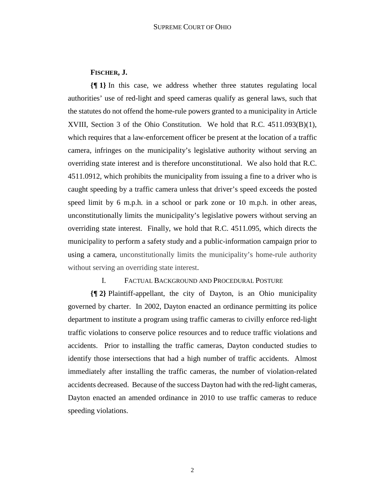## **FISCHER, J.**

**{¶ 1}** In this case, we address whether three statutes regulating local authorities' use of red-light and speed cameras qualify as general laws, such that the statutes do not offend the home-rule powers granted to a municipality in Article XVIII, Section 3 of the Ohio Constitution. We hold that R.C. 4511.093(B)(1), which requires that a law-enforcement officer be present at the location of a traffic camera, infringes on the municipality's legislative authority without serving an overriding state interest and is therefore unconstitutional. We also hold that R.C. 4511.0912, which prohibits the municipality from issuing a fine to a driver who is caught speeding by a traffic camera unless that driver's speed exceeds the posted speed limit by 6 m.p.h. in a school or park zone or 10 m.p.h. in other areas, unconstitutionally limits the municipality's legislative powers without serving an overriding state interest. Finally, we hold that R.C. 4511.095, which directs the municipality to perform a safety study and a public-information campaign prior to using a camera, unconstitutionally limits the municipality's home-rule authority without serving an overriding state interest.

#### I. FACTUAL BACKGROUND AND PROCEDURAL POSTURE

**{¶ 2}** Plaintiff-appellant, the city of Dayton, is an Ohio municipality governed by charter. In 2002, Dayton enacted an ordinance permitting its police department to institute a program using traffic cameras to civilly enforce red-light traffic violations to conserve police resources and to reduce traffic violations and accidents. Prior to installing the traffic cameras, Dayton conducted studies to identify those intersections that had a high number of traffic accidents. Almost immediately after installing the traffic cameras, the number of violation-related accidents decreased. Because of the success Dayton had with the red-light cameras, Dayton enacted an amended ordinance in 2010 to use traffic cameras to reduce speeding violations.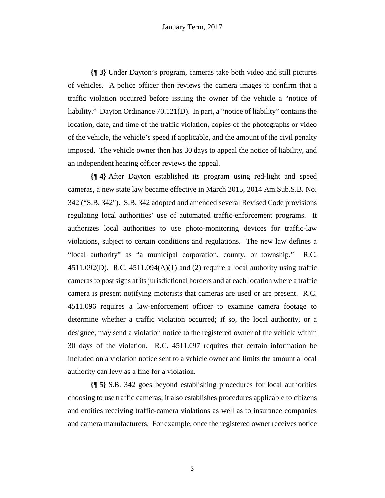**{¶ 3}** Under Dayton's program, cameras take both video and still pictures of vehicles. A police officer then reviews the camera images to confirm that a traffic violation occurred before issuing the owner of the vehicle a "notice of liability." Dayton Ordinance 70.121(D). In part, a "notice of liability" contains the location, date, and time of the traffic violation, copies of the photographs or video of the vehicle, the vehicle's speed if applicable, and the amount of the civil penalty imposed. The vehicle owner then has 30 days to appeal the notice of liability, and an independent hearing officer reviews the appeal.

**{¶ 4}** After Dayton established its program using red-light and speed cameras, a new state law became effective in March 2015, 2014 Am.Sub.S.B. No. 342 ("S.B. 342"). S.B. 342 adopted and amended several Revised Code provisions regulating local authorities' use of automated traffic-enforcement programs. It authorizes local authorities to use photo-monitoring devices for traffic-law violations, subject to certain conditions and regulations. The new law defines a "local authority" as "a municipal corporation, county, or township." R.C. 4511.092(D). R.C. 4511.094(A)(1) and (2) require a local authority using traffic cameras to post signs at its jurisdictional borders and at each location where a traffic camera is present notifying motorists that cameras are used or are present. R.C. 4511.096 requires a law-enforcement officer to examine camera footage to determine whether a traffic violation occurred; if so, the local authority, or a designee, may send a violation notice to the registered owner of the vehicle within 30 days of the violation. R.C. 4511.097 requires that certain information be included on a violation notice sent to a vehicle owner and limits the amount a local authority can levy as a fine for a violation.

**{¶ 5}** S.B. 342 goes beyond establishing procedures for local authorities choosing to use traffic cameras; it also establishes procedures applicable to citizens and entities receiving traffic-camera violations as well as to insurance companies and camera manufacturers. For example, once the registered owner receives notice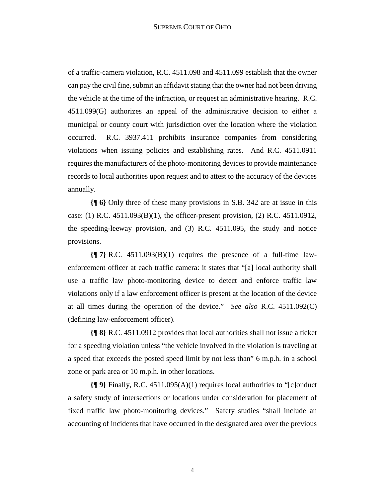of a traffic-camera violation, R.C. 4511.098 and 4511.099 establish that the owner can pay the civil fine, submit an affidavit stating that the owner had not been driving the vehicle at the time of the infraction, or request an administrative hearing. R.C. 4511.099(G) authorizes an appeal of the administrative decision to either a municipal or county court with jurisdiction over the location where the violation occurred. R.C. 3937.411 prohibits insurance companies from considering violations when issuing policies and establishing rates. And R.C. 4511.0911 requires the manufacturers of the photo-monitoring devices to provide maintenance records to local authorities upon request and to attest to the accuracy of the devices annually.

**{¶ 6}** Only three of these many provisions in S.B. 342 are at issue in this case: (1) R.C.  $4511.093(B)(1)$ , the officer-present provision, (2) R.C.  $4511.0912$ , the speeding-leeway provision, and (3) R.C. 4511.095, the study and notice provisions.

**{¶ 7}** R.C. 4511.093(B)(1) requires the presence of a full-time lawenforcement officer at each traffic camera: it states that "[a] local authority shall use a traffic law photo-monitoring device to detect and enforce traffic law violations only if a law enforcement officer is present at the location of the device at all times during the operation of the device." *See also* R.C. 4511.092(C) (defining law-enforcement officer).

**{¶ 8}** R.C. 4511.0912 provides that local authorities shall not issue a ticket for a speeding violation unless "the vehicle involved in the violation is traveling at a speed that exceeds the posted speed limit by not less than" 6 m.p.h. in a school zone or park area or 10 m.p.h. in other locations.

**{¶ 9}** Finally, R.C. 4511.095(A)(1) requires local authorities to "[c]onduct a safety study of intersections or locations under consideration for placement of fixed traffic law photo-monitoring devices." Safety studies "shall include an accounting of incidents that have occurred in the designated area over the previous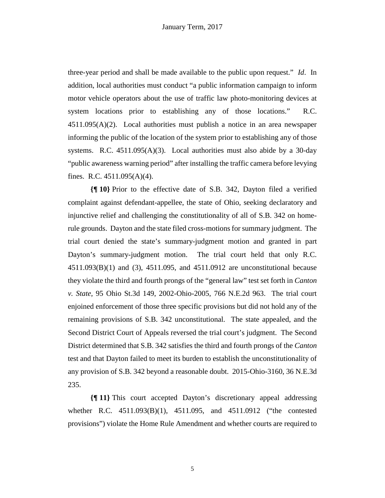three-year period and shall be made available to the public upon request." *Id*. In addition, local authorities must conduct "a public information campaign to inform motor vehicle operators about the use of traffic law photo-monitoring devices at system locations prior to establishing any of those locations." R.C.  $4511.095(A)(2)$ . Local authorities must publish a notice in an area newspaper informing the public of the location of the system prior to establishing any of those systems. R.C. 4511.095(A)(3). Local authorities must also abide by a 30-day "public awareness warning period" after installing the traffic camera before levying fines. R.C. 4511.095(A)(4).

**{¶ 10}** Prior to the effective date of S.B. 342, Dayton filed a verified complaint against defendant-appellee, the state of Ohio, seeking declaratory and injunctive relief and challenging the constitutionality of all of S.B. 342 on homerule grounds. Dayton and the state filed cross-motions for summary judgment. The trial court denied the state's summary-judgment motion and granted in part Dayton's summary-judgment motion. The trial court held that only R.C. 4511.093(B)(1) and (3), 4511.095, and 4511.0912 are unconstitutional because they violate the third and fourth prongs of the "general law" test set forth in *Canton v. State*, 95 Ohio St.3d 149, 2002-Ohio-2005, 766 N.E.2d 963. The trial court enjoined enforcement of those three specific provisions but did not hold any of the remaining provisions of S.B. 342 unconstitutional. The state appealed, and the Second District Court of Appeals reversed the trial court's judgment. The Second District determined that S.B. 342 satisfies the third and fourth prongs of the *Canton* test and that Dayton failed to meet its burden to establish the unconstitutionality of any provision of S.B. 342 beyond a reasonable doubt. 2015-Ohio-3160, 36 N.E.3d 235.

**{¶ 11}** This court accepted Dayton's discretionary appeal addressing whether R.C. 4511.093(B)(1), 4511.095, and 4511.0912 ("the contested provisions") violate the Home Rule Amendment and whether courts are required to

5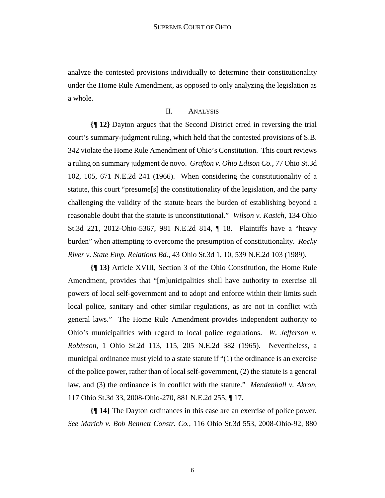analyze the contested provisions individually to determine their constitutionality under the Home Rule Amendment, as opposed to only analyzing the legislation as a whole.

## II. ANALYSIS

**{¶ 12}** Dayton argues that the Second District erred in reversing the trial court's summary-judgment ruling, which held that the contested provisions of S.B. 342 violate the Home Rule Amendment of Ohio's Constitution. This court reviews a ruling on summary judgment de novo. *Grafton v. Ohio Edison Co.*, 77 Ohio St.3d 102, 105, 671 N.E.2d 241 (1966). When considering the constitutionality of a statute, this court "presume[s] the constitutionality of the legislation, and the party challenging the validity of the statute bears the burden of establishing beyond a reasonable doubt that the statute is unconstitutional." *Wilson v. Kasich*, 134 Ohio St.3d 221, 2012-Ohio-5367, 981 N.E.2d 814, ¶ 18. Plaintiffs have a "heavy burden" when attempting to overcome the presumption of constitutionality. *Rocky River v. State Emp. Relations Bd.*, 43 Ohio St.3d 1, 10, 539 N.E.2d 103 (1989).

**{¶ 13}** Article XVIII, Section 3 of the Ohio Constitution, the Home Rule Amendment, provides that "[m]unicipalities shall have authority to exercise all powers of local self-government and to adopt and enforce within their limits such local police, sanitary and other similar regulations, as are not in conflict with general laws." The Home Rule Amendment provides independent authority to Ohio's municipalities with regard to local police regulations. *W. Jefferson v. Robinson*, 1 Ohio St.2d 113, 115, 205 N.E.2d 382 (1965). Nevertheless, a municipal ordinance must yield to a state statute if "(1) the ordinance is an exercise of the police power, rather than of local self-government, (2) the statute is a general law, and (3) the ordinance is in conflict with the statute." *Mendenhall v. Akron*, 117 Ohio St.3d 33, 2008-Ohio-270, 881 N.E.2d 255, ¶ 17.

**{¶ 14}** The Dayton ordinances in this case are an exercise of police power. *See Marich v. Bob Bennett Constr. Co.*, 116 Ohio St.3d 553, 2008-Ohio-92, 880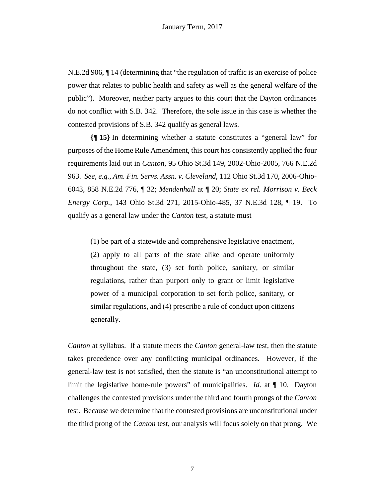N.E.2d 906, ¶ 14 (determining that "the regulation of traffic is an exercise of police power that relates to public health and safety as well as the general welfare of the public"). Moreover, neither party argues to this court that the Dayton ordinances do not conflict with S.B. 342. Therefore, the sole issue in this case is whether the contested provisions of S.B. 342 qualify as general laws.

**{¶ 15}** In determining whether a statute constitutes a "general law" for purposes of the Home Rule Amendment, this court has consistently applied the four requirements laid out in *Canton*, 95 Ohio St.3d 149, 2002-Ohio-2005, 766 N.E.2d 963. *See, e.g., Am. Fin. Servs. Assn. v. Cleveland*, 112 Ohio St.3d 170, 2006-Ohio-6043, 858 N.E.2d 776, ¶ 32; *Mendenhall* at ¶ 20; *State ex rel. Morrison v. Beck Energy Corp.*, 143 Ohio St.3d 271, 2015-Ohio-485, 37 N.E.3d 128, ¶ 19. To qualify as a general law under the *Canton* test, a statute must

(1) be part of a statewide and comprehensive legislative enactment, (2) apply to all parts of the state alike and operate uniformly throughout the state, (3) set forth police, sanitary, or similar regulations, rather than purport only to grant or limit legislative power of a municipal corporation to set forth police, sanitary, or similar regulations, and (4) prescribe a rule of conduct upon citizens generally.

*Canton* at syllabus. If a statute meets the *Canton* general-law test, then the statute takes precedence over any conflicting municipal ordinances. However, if the general-law test is not satisfied, then the statute is "an unconstitutional attempt to limit the legislative home-rule powers" of municipalities. *Id.* at ¶ 10. Dayton challenges the contested provisions under the third and fourth prongs of the *Canton* test. Because we determine that the contested provisions are unconstitutional under the third prong of the *Canton* test, our analysis will focus solely on that prong. We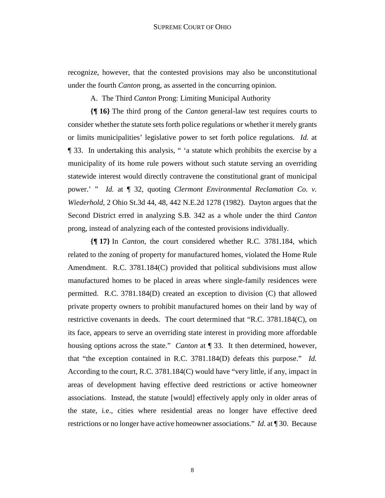recognize, however, that the contested provisions may also be unconstitutional under the fourth *Canton* prong, as asserted in the concurring opinion.

A. The Third *Canton* Prong: Limiting Municipal Authority

**{¶ 16}** The third prong of the *Canton* general-law test requires courts to consider whether the statute sets forth police regulations or whether it merely grants or limits municipalities' legislative power to set forth police regulations. *Id.* at ¶ 33. In undertaking this analysis, " 'a statute which prohibits the exercise by a municipality of its home rule powers without such statute serving an overriding statewide interest would directly contravene the constitutional grant of municipal power.' " *Id.* at ¶ 32, quoting *Clermont Environmental Reclamation Co. v. Wiederhold*, 2 Ohio St.3d 44, 48, 442 N.E.2d 1278 (1982). Dayton argues that the Second District erred in analyzing S.B. 342 as a whole under the third *Canton* prong, instead of analyzing each of the contested provisions individually.

**{¶ 17}** In *Canton*, the court considered whether R.C. 3781.184, which related to the zoning of property for manufactured homes, violated the Home Rule Amendment. R.C. 3781.184(C) provided that political subdivisions must allow manufactured homes to be placed in areas where single-family residences were permitted. R.C. 3781.184(D) created an exception to division (C) that allowed private property owners to prohibit manufactured homes on their land by way of restrictive covenants in deeds. The court determined that "R.C. 3781.184(C), on its face, appears to serve an overriding state interest in providing more affordable housing options across the state." *Canton* at ¶ 33. It then determined, however, that "the exception contained in R.C. 3781.184(D) defeats this purpose." *Id.*  According to the court, R.C. 3781.184(C) would have "very little, if any, impact in areas of development having effective deed restrictions or active homeowner associations. Instead, the statute [would] effectively apply only in older areas of the state, i.e., cities where residential areas no longer have effective deed restrictions or no longer have active homeowner associations." *Id.* at ¶ 30. Because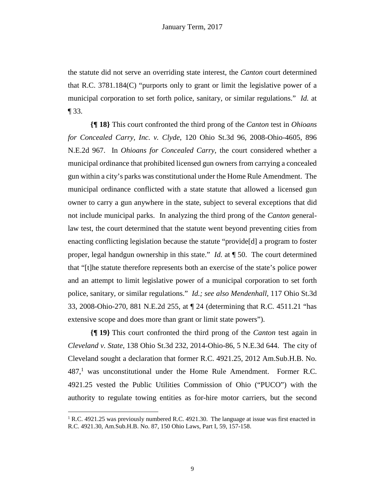the statute did not serve an overriding state interest, the *Canton* court determined that R.C. 3781.184(C) "purports only to grant or limit the legislative power of a municipal corporation to set forth police, sanitary, or similar regulations." *Id.* at ¶ 33.

**{¶ 18}** This court confronted the third prong of the *Canton* test in *Ohioans for Concealed Carry, Inc. v. Clyde*, 120 Ohio St.3d 96, 2008-Ohio-4605, 896 N.E.2d 967. In *Ohioans for Concealed Carry*, the court considered whether a municipal ordinance that prohibited licensed gun owners from carrying a concealed gun within a city's parks was constitutional under the Home Rule Amendment. The municipal ordinance conflicted with a state statute that allowed a licensed gun owner to carry a gun anywhere in the state, subject to several exceptions that did not include municipal parks. In analyzing the third prong of the *Canton* generallaw test, the court determined that the statute went beyond preventing cities from enacting conflicting legislation because the statute "provide[d] a program to foster proper, legal handgun ownership in this state." *Id.* at ¶ 50. The court determined that "[t]he statute therefore represents both an exercise of the state's police power and an attempt to limit legislative power of a municipal corporation to set forth police, sanitary, or similar regulations." *Id.; see also Mendenhall*, 117 Ohio St.3d 33, 2008-Ohio-270, 881 N.E.2d 255, at ¶ 24 (determining that R.C. 4511.21 "has extensive scope and does more than grant or limit state powers").

**{¶ 19}** This court confronted the third prong of the *Canton* test again in *Cleveland v. State*, 138 Ohio St.3d 232, 2014-Ohio-86, 5 N.E.3d 644. The city of Cleveland sought a declaration that former R.C. 4921.25, 2012 Am.Sub.H.B. No.  $487<sup>1</sup>$  was unconstitutional under the Home Rule Amendment. Former R.C. 4921.25 vested the Public Utilities Commission of Ohio ("PUCO") with the authority to regulate towing entities as for-hire motor carriers, but the second

1

<sup>&</sup>lt;sup>1</sup> R.C. 4921.25 was previously numbered R.C. 4921.30. The language at issue was first enacted in R.C. 4921.30, Am.Sub.H.B. No. 87, 150 Ohio Laws, Part I, 59, 157-158.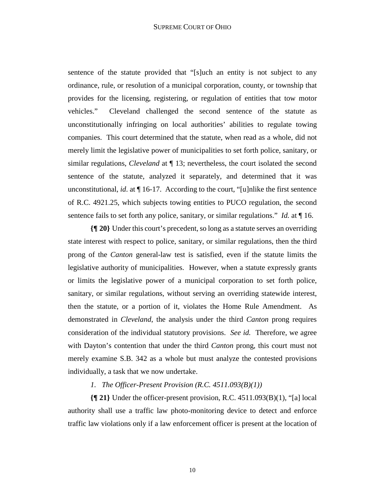sentence of the statute provided that "[s]uch an entity is not subject to any ordinance, rule, or resolution of a municipal corporation, county, or township that provides for the licensing, registering, or regulation of entities that tow motor vehicles." Cleveland challenged the second sentence of the statute as unconstitutionally infringing on local authorities' abilities to regulate towing companies. This court determined that the statute, when read as a whole, did not merely limit the legislative power of municipalities to set forth police, sanitary, or similar regulations, *Cleveland* at ¶ 13; nevertheless, the court isolated the second sentence of the statute, analyzed it separately, and determined that it was unconstitutional, *id*. at ¶ 16-17. According to the court, "[u]nlike the first sentence of R.C. 4921.25, which subjects towing entities to PUCO regulation, the second sentence fails to set forth any police, sanitary, or similar regulations." *Id.* at ¶ 16.

**{¶ 20}** Under this court's precedent, so long as a statute serves an overriding state interest with respect to police, sanitary, or similar regulations, then the third prong of the *Canton* general-law test is satisfied, even if the statute limits the legislative authority of municipalities. However, when a statute expressly grants or limits the legislative power of a municipal corporation to set forth police, sanitary, or similar regulations, without serving an overriding statewide interest, then the statute, or a portion of it, violates the Home Rule Amendment. As demonstrated in *Cleveland*, the analysis under the third *Canton* prong requires consideration of the individual statutory provisions. *See id.* Therefore, we agree with Dayton's contention that under the third *Canton* prong, this court must not merely examine S.B. 342 as a whole but must analyze the contested provisions individually, a task that we now undertake.

#### *1. The Officer-Present Provision (R.C. 4511.093(B)(1))*

**{¶ 21}** Under the officer-present provision, R.C. 4511.093(B)(1), "[a] local authority shall use a traffic law photo-monitoring device to detect and enforce traffic law violations only if a law enforcement officer is present at the location of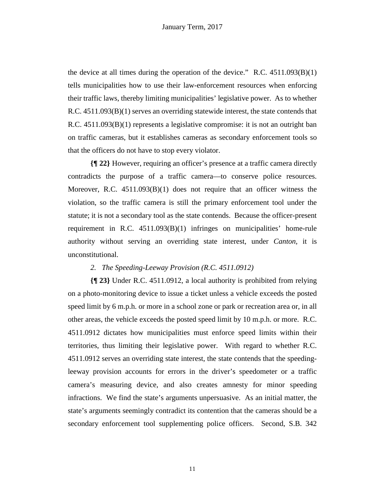the device at all times during the operation of the device."  $R.C. 4511.093(B)(1)$ tells municipalities how to use their law-enforcement resources when enforcing their traffic laws, thereby limiting municipalities' legislative power. As to whether R.C. 4511.093(B)(1) serves an overriding statewide interest, the state contends that R.C. 4511.093(B)(1) represents a legislative compromise: it is not an outright ban on traffic cameras, but it establishes cameras as secondary enforcement tools so that the officers do not have to stop every violator.

**{¶ 22}** However, requiring an officer's presence at a traffic camera directly contradicts the purpose of a traffic camera—to conserve police resources. Moreover, R.C.  $4511.093(B)(1)$  does not require that an officer witness the violation, so the traffic camera is still the primary enforcement tool under the statute; it is not a secondary tool as the state contends. Because the officer-present requirement in R.C. 4511.093(B)(1) infringes on municipalities' home-rule authority without serving an overriding state interest, under *Canton,* it is unconstitutional.

#### *2. The Speeding-Leeway Provision (R.C. 4511.0912)*

**{¶ 23}** Under R.C. 4511.0912, a local authority is prohibited from relying on a photo-monitoring device to issue a ticket unless a vehicle exceeds the posted speed limit by 6 m.p.h. or more in a school zone or park or recreation area or, in all other areas, the vehicle exceeds the posted speed limit by 10 m.p.h. or more. R.C. 4511.0912 dictates how municipalities must enforce speed limits within their territories, thus limiting their legislative power. With regard to whether R.C. 4511.0912 serves an overriding state interest, the state contends that the speedingleeway provision accounts for errors in the driver's speedometer or a traffic camera's measuring device, and also creates amnesty for minor speeding infractions. We find the state's arguments unpersuasive. As an initial matter, the state's arguments seemingly contradict its contention that the cameras should be a secondary enforcement tool supplementing police officers. Second, S.B. 342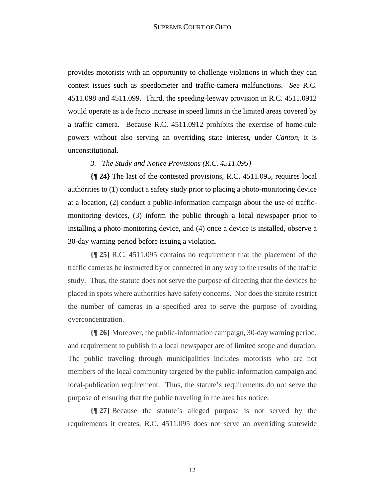provides motorists with an opportunity to challenge violations in which they can contest issues such as speedometer and traffic-camera malfunctions. *See* R.C. 4511.098 and 4511.099. Third, the speeding-leeway provision in R.C. 4511.0912 would operate as a de facto increase in speed limits in the limited areas covered by a traffic camera. Because R.C. 4511.0912 prohibits the exercise of home-rule powers without also serving an overriding state interest, under *Canton,* it is unconstitutional.

#### *3. The Study and Notice Provisions (R.C. 4511.095)*

**{¶ 24}** The last of the contested provisions, R.C. 4511.095, requires local authorities to (1) conduct a safety study prior to placing a photo-monitoring device at a location, (2) conduct a public-information campaign about the use of trafficmonitoring devices, (3) inform the public through a local newspaper prior to installing a photo-monitoring device, and (4) once a device is installed, observe a 30-day warning period before issuing a violation.

**{¶ 25}** R.C. 4511.095 contains no requirement that the placement of the traffic cameras be instructed by or connected in any way to the results of the traffic study. Thus, the statute does not serve the purpose of directing that the devices be placed in spots where authorities have safety concerns. Nor does the statute restrict the number of cameras in a specified area to serve the purpose of avoiding overconcentration.

**{¶ 26}** Moreover, the public-information campaign, 30-day warning period, and requirement to publish in a local newspaper are of limited scope and duration. The public traveling through municipalities includes motorists who are not members of the local community targeted by the public-information campaign and local-publication requirement. Thus, the statute's requirements do not serve the purpose of ensuring that the public traveling in the area has notice.

**{¶ 27}** Because the statute's alleged purpose is not served by the requirements it creates, R.C. 4511.095 does not serve an overriding statewide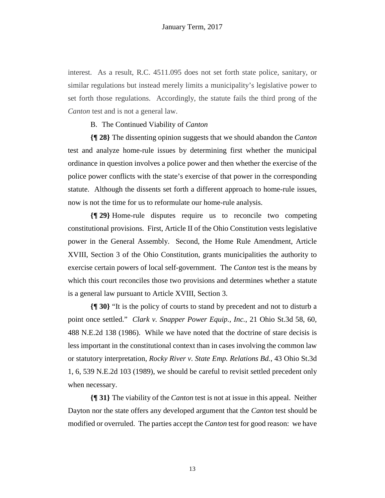interest. As a result, R.C. 4511.095 does not set forth state police, sanitary, or similar regulations but instead merely limits a municipality's legislative power to set forth those regulations. Accordingly, the statute fails the third prong of the *Canton* test and is not a general law.

#### B. The Continued Viability of *Canton*

**{¶ 28}** The dissenting opinion suggests that we should abandon the *Canton*  test and analyze home-rule issues by determining first whether the municipal ordinance in question involves a police power and then whether the exercise of the police power conflicts with the state's exercise of that power in the corresponding statute. Although the dissents set forth a different approach to home-rule issues, now is not the time for us to reformulate our home-rule analysis.

**{¶ 29}** Home-rule disputes require us to reconcile two competing constitutional provisions. First, Article II of the Ohio Constitution vests legislative power in the General Assembly. Second, the Home Rule Amendment, Article XVIII, Section 3 of the Ohio Constitution, grants municipalities the authority to exercise certain powers of local self-government. The *Canton* test is the means by which this court reconciles those two provisions and determines whether a statute is a general law pursuant to Article XVIII, Section 3.

**{¶ 30}** "It is the policy of courts to stand by precedent and not to disturb a point once settled." *Clark v. Snapper Power Equip., Inc.*, 21 Ohio St.3d 58, 60, 488 N.E.2d 138 (1986). While we have noted that the doctrine of stare decisis is less important in the constitutional context than in cases involving the common law or statutory interpretation, *Rocky River v. State Emp. Relations Bd.*, 43 Ohio St.3d 1, 6, 539 N.E.2d 103 (1989), we should be careful to revisit settled precedent only when necessary.

**{¶ 31}** The viability of the *Canton* test is not at issue in this appeal. Neither Dayton nor the state offers any developed argument that the *Canton* test should be modified or overruled. The parties accept the *Canton* test for good reason: we have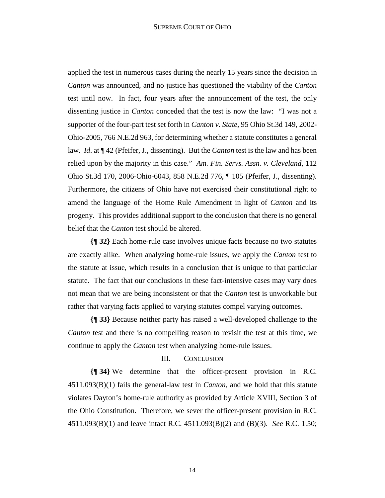applied the test in numerous cases during the nearly 15 years since the decision in *Canton* was announced, and no justice has questioned the viability of the *Canton*  test until now. In fact, four years after the announcement of the test, the only dissenting justice in *Canton* conceded that the test is now the law: "I was not a supporter of the four-part test set forth in *Canton v. State*, 95 Ohio St.3d 149, 2002- Ohio-2005, 766 N.E.2d 963, for determining whether a statute constitutes a general law. *Id*. at ¶ 42 (Pfeifer, J., dissenting). But the *Canton* test is the law and has been relied upon by the majority in this case." *Am. Fin. Servs. Assn. v. Cleveland*, 112 Ohio St.3d 170, 2006-Ohio-6043, 858 N.E.2d 776, ¶ 105 (Pfeifer, J., dissenting). Furthermore, the citizens of Ohio have not exercised their constitutional right to amend the language of the Home Rule Amendment in light of *Canton* and its progeny. This provides additional support to the conclusion that there is no general belief that the *Canton* test should be altered.

**{¶ 32}** Each home-rule case involves unique facts because no two statutes are exactly alike. When analyzing home-rule issues, we apply the *Canton* test to the statute at issue, which results in a conclusion that is unique to that particular statute. The fact that our conclusions in these fact-intensive cases may vary does not mean that we are being inconsistent or that the *Canton* test is unworkable but rather that varying facts applied to varying statutes compel varying outcomes.

**{¶ 33}** Because neither party has raised a well-developed challenge to the *Canton* test and there is no compelling reason to revisit the test at this time, we continue to apply the *Canton* test when analyzing home-rule issues.

#### III. CONCLUSION

**{¶ 34}** We determine that the officer-present provision in R.C. 4511.093(B)(1) fails the general-law test in *Canton*, and we hold that this statute violates Dayton's home-rule authority as provided by Article XVIII, Section 3 of the Ohio Constitution. Therefore, we sever the officer-present provision in R.C. 4511.093(B)(1) and leave intact R.C. 4511.093(B)(2) and (B)(3). *See* R.C. 1.50;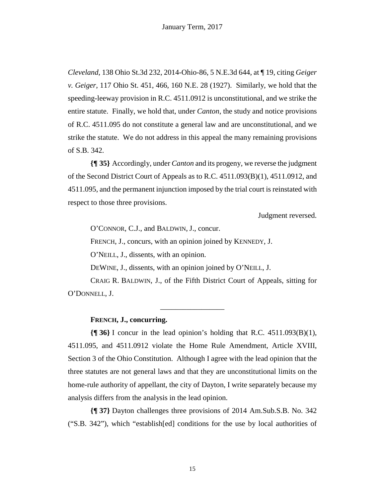*Cleveland*, 138 Ohio St.3d 232, 2014-Ohio-86, 5 N.E.3d 644, at ¶ 19, citing *Geiger v. Geiger*, 117 Ohio St. 451, 466, 160 N.E. 28 (1927). Similarly, we hold that the speeding-leeway provision in R.C. 4511.0912 is unconstitutional, and we strike the entire statute. Finally, we hold that, under *Canton*, the study and notice provisions of R.C. 4511.095 do not constitute a general law and are unconstitutional, and we strike the statute. We do not address in this appeal the many remaining provisions of S.B. 342.

**{¶ 35}** Accordingly, under *Canton* and its progeny, we reverse the judgment of the Second District Court of Appeals as to R.C. 4511.093(B)(1), 4511.0912, and 4511.095, and the permanent injunction imposed by the trial court is reinstated with respect to those three provisions.

Judgment reversed.

O'CONNOR, C.J., and BALDWIN, J., concur.

FRENCH, J., concurs, with an opinion joined by KENNEDY, J.

O'NEILL, J., dissents, with an opinion.

DEWINE, J., dissents, with an opinion joined by O'NEILL, J.

CRAIG R. BALDWIN, J., of the Fifth District Court of Appeals, sitting for O'DONNELL, J.

\_\_\_\_\_\_\_\_\_\_\_\_\_\_\_\_\_

#### **FRENCH, J., concurring.**

**{¶ 36}** I concur in the lead opinion's holding that R.C. 4511.093(B)(1), 4511.095, and 4511.0912 violate the Home Rule Amendment, Article XVIII, Section 3 of the Ohio Constitution. Although I agree with the lead opinion that the three statutes are not general laws and that they are unconstitutional limits on the home-rule authority of appellant, the city of Dayton, I write separately because my analysis differs from the analysis in the lead opinion.

**{¶ 37}** Dayton challenges three provisions of 2014 Am.Sub.S.B. No. 342 ("S.B. 342"), which "establish[ed] conditions for the use by local authorities of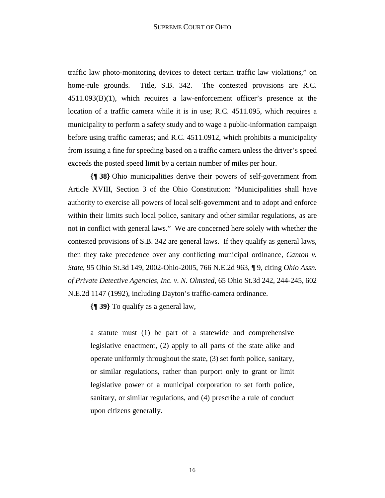traffic law photo-monitoring devices to detect certain traffic law violations," on home-rule grounds. Title, S.B. 342. The contested provisions are R.C. 4511.093(B)(1), which requires a law-enforcement officer's presence at the location of a traffic camera while it is in use; R.C. 4511.095, which requires a municipality to perform a safety study and to wage a public-information campaign before using traffic cameras; and R.C. 4511.0912, which prohibits a municipality from issuing a fine for speeding based on a traffic camera unless the driver's speed exceeds the posted speed limit by a certain number of miles per hour.

**{¶ 38}** Ohio municipalities derive their powers of self-government from Article XVIII, Section 3 of the Ohio Constitution: "Municipalities shall have authority to exercise all powers of local self-government and to adopt and enforce within their limits such local police, sanitary and other similar regulations, as are not in conflict with general laws." We are concerned here solely with whether the contested provisions of S.B. 342 are general laws. If they qualify as general laws, then they take precedence over any conflicting municipal ordinance, *Canton v. State*, 95 Ohio St.3d 149, 2002-Ohio-2005, 766 N.E.2d 963, ¶ 9, citing *Ohio Assn. of Private Detective Agencies, Inc. v. N. Olmsted*, 65 Ohio St.3d 242, 244-245, 602 N.E.2d 1147 (1992), including Dayton's traffic-camera ordinance.

**{¶ 39}** To qualify as a general law,

a statute must (1) be part of a statewide and comprehensive legislative enactment, (2) apply to all parts of the state alike and operate uniformly throughout the state, (3) set forth police, sanitary, or similar regulations, rather than purport only to grant or limit legislative power of a municipal corporation to set forth police, sanitary, or similar regulations, and (4) prescribe a rule of conduct upon citizens generally.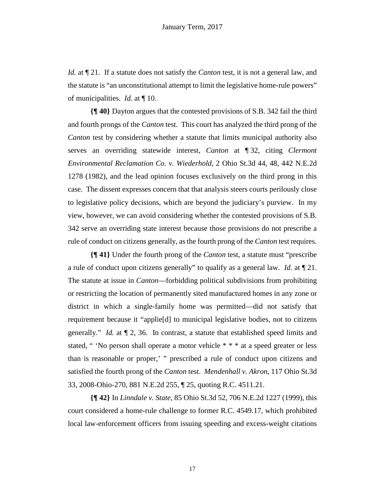*Id.* at  $\P$  21. If a statute does not satisfy the *Canton* test, it is not a general law, and the statute is "an unconstitutional attempt to limit the legislative home-rule powers" of municipalities. *Id.* at ¶ 10.

**{¶ 40}** Dayton argues that the contested provisions of S.B. 342 fail the third and fourth prongs of the *Canton* test. This court has analyzed the third prong of the *Canton* test by considering whether a statute that limits municipal authority also serves an overriding statewide interest, *Canton* at ¶ 32, citing *Clermont Environmental Reclamation Co. v. Wiederhold*, 2 Ohio St.3d 44, 48, 442 N.E.2d 1278 (1982), and the lead opinion focuses exclusively on the third prong in this case. The dissent expresses concern that that analysis steers courts perilously close to legislative policy decisions, which are beyond the judiciary's purview. In my view, however, we can avoid considering whether the contested provisions of S.B. 342 serve an overriding state interest because those provisions do not prescribe a rule of conduct on citizens generally, as the fourth prong of the *Canton* test requires.

**{¶ 41}** Under the fourth prong of the *Canton* test, a statute must "prescribe a rule of conduct upon citizens generally" to qualify as a general law. *Id.* at ¶ 21. The statute at issue in *Canton*—forbidding political subdivisions from prohibiting or restricting the location of permanently sited manufactured homes in any zone or district in which a single-family home was permitted—did not satisfy that requirement because it "applie[d] to municipal legislative bodies, not to citizens generally." *Id.* at ¶ 2, 36. In contrast, a statute that established speed limits and stated, " 'No person shall operate a motor vehicle \* \* \* at a speed greater or less than is reasonable or proper,' " prescribed a rule of conduct upon citizens and satisfied the fourth prong of the *Canton* test. *Mendenhall v. Akron*, 117 Ohio St.3d 33, 2008-Ohio-270, 881 N.E.2d 255, ¶ 25, quoting R.C. 4511.21.

**{¶ 42}** In *Linndale v. State*, 85 Ohio St.3d 52, 706 N.E.2d 1227 (1999), this court considered a home-rule challenge to former R.C. 4549.17, which prohibited local law-enforcement officers from issuing speeding and excess-weight citations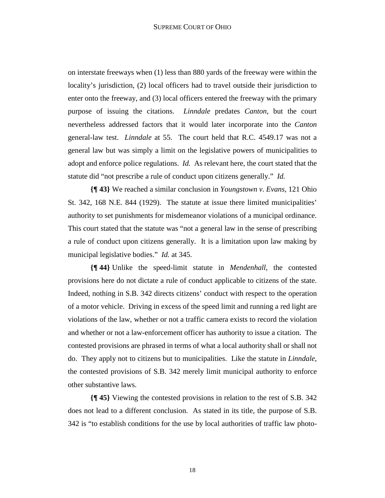on interstate freeways when (1) less than 880 yards of the freeway were within the locality's jurisdiction, (2) local officers had to travel outside their jurisdiction to enter onto the freeway, and (3) local officers entered the freeway with the primary purpose of issuing the citations. *Linndale* predates *Canton*, but the court nevertheless addressed factors that it would later incorporate into the *Canton*  general-law test. *Linndale* at 55. The court held that R.C. 4549.17 was not a general law but was simply a limit on the legislative powers of municipalities to adopt and enforce police regulations. *Id.* As relevant here, the court stated that the statute did "not prescribe a rule of conduct upon citizens generally." *Id.*

**{¶ 43}** We reached a similar conclusion in *Youngstown v. Evans*, 121 Ohio St. 342, 168 N.E. 844 (1929). The statute at issue there limited municipalities' authority to set punishments for misdemeanor violations of a municipal ordinance. This court stated that the statute was "not a general law in the sense of prescribing a rule of conduct upon citizens generally. It is a limitation upon law making by municipal legislative bodies." *Id.* at 345.

**{¶ 44}** Unlike the speed-limit statute in *Mendenhall*, the contested provisions here do not dictate a rule of conduct applicable to citizens of the state. Indeed, nothing in S.B. 342 directs citizens' conduct with respect to the operation of a motor vehicle. Driving in excess of the speed limit and running a red light are violations of the law, whether or not a traffic camera exists to record the violation and whether or not a law-enforcement officer has authority to issue a citation. The contested provisions are phrased in terms of what a local authority shall or shall not do. They apply not to citizens but to municipalities. Like the statute in *Linndale*, the contested provisions of S.B. 342 merely limit municipal authority to enforce other substantive laws.

**{¶ 45}** Viewing the contested provisions in relation to the rest of S.B. 342 does not lead to a different conclusion. As stated in its title, the purpose of S.B. 342 is "to establish conditions for the use by local authorities of traffic law photo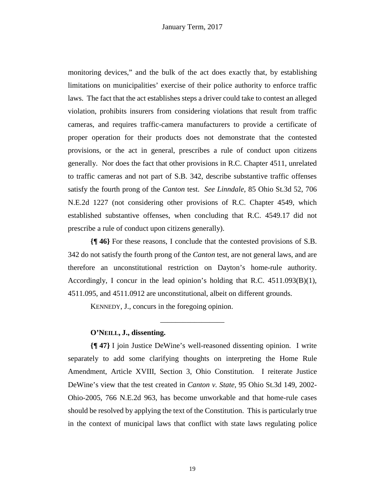monitoring devices," and the bulk of the act does exactly that, by establishing limitations on municipalities' exercise of their police authority to enforce traffic laws. The fact that the act establishes steps a driver could take to contest an alleged violation, prohibits insurers from considering violations that result from traffic cameras, and requires traffic-camera manufacturers to provide a certificate of proper operation for their products does not demonstrate that the contested provisions, or the act in general, prescribes a rule of conduct upon citizens generally. Nor does the fact that other provisions in R.C. Chapter 4511, unrelated to traffic cameras and not part of S.B. 342, describe substantive traffic offenses satisfy the fourth prong of the *Canton* test. *See Linndale*, 85 Ohio St.3d 52, 706 N.E.2d 1227 (not considering other provisions of R.C. Chapter 4549, which established substantive offenses, when concluding that R.C. 4549.17 did not prescribe a rule of conduct upon citizens generally).

**{¶ 46}** For these reasons, I conclude that the contested provisions of S.B. 342 do not satisfy the fourth prong of the *Canton* test, are not general laws, and are therefore an unconstitutional restriction on Dayton's home-rule authority. Accordingly, I concur in the lead opinion's holding that R.C.  $4511.093(B)(1)$ , 4511.095, and 4511.0912 are unconstitutional, albeit on different grounds.

\_\_\_\_\_\_\_\_\_\_\_\_\_\_\_\_\_

KENNEDY, J., concurs in the foregoing opinion.

#### **O'NEILL, J., dissenting.**

**{¶ 47}** I join Justice DeWine's well-reasoned dissenting opinion. I write separately to add some clarifying thoughts on interpreting the Home Rule Amendment, Article XVIII, Section 3, Ohio Constitution. I reiterate Justice DeWine's view that the test created in *Canton v. State*, 95 Ohio St.3d 149, 2002- Ohio-2005, 766 N.E.2d 963, has become unworkable and that home-rule cases should be resolved by applying the text of the Constitution. This is particularly true in the context of municipal laws that conflict with state laws regulating police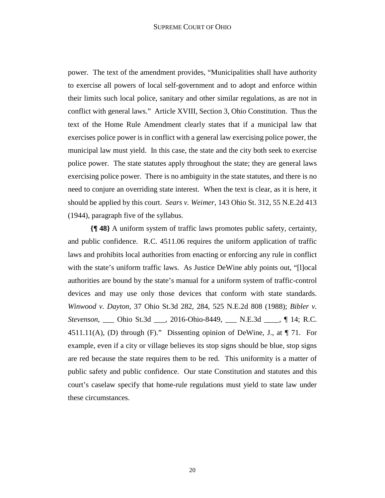#### SUPREME COURT OF OHIO

power. The text of the amendment provides, "Municipalities shall have authority to exercise all powers of local self-government and to adopt and enforce within their limits such local police, sanitary and other similar regulations, as are not in conflict with general laws." Article XVIII, Section 3, Ohio Constitution. Thus the text of the Home Rule Amendment clearly states that if a municipal law that exercises police power is in conflict with a general law exercising police power, the municipal law must yield. In this case, the state and the city both seek to exercise police power. The state statutes apply throughout the state; they are general laws exercising police power. There is no ambiguity in the state statutes, and there is no need to conjure an overriding state interest. When the text is clear, as it is here, it should be applied by this court. *Sears v. Weimer*, 143 Ohio St. 312, 55 N.E.2d 413 (1944), paragraph five of the syllabus.

**{¶ 48}** A uniform system of traffic laws promotes public safety, certainty, and public confidence. R.C. 4511.06 requires the uniform application of traffic laws and prohibits local authorities from enacting or enforcing any rule in conflict with the state's uniform traffic laws. As Justice DeWine ably points out, "[I] ocal authorities are bound by the state's manual for a uniform system of traffic-control devices and may use only those devices that conform with state standards. *Winwood v. Dayton*, 37 Ohio St.3d 282, 284, 525 N.E.2d 808 (1988); *Bibler v. Stevenson*, Ohio St.3d , 2016-Ohio-8449, N.E.3d , ¶ 14; R.C. 4511.11(A), (D) through (F)." Dissenting opinion of DeWine, J., at  $\P$  71. For example, even if a city or village believes its stop signs should be blue, stop signs are red because the state requires them to be red. This uniformity is a matter of public safety and public confidence. Our state Constitution and statutes and this court's caselaw specify that home-rule regulations must yield to state law under these circumstances.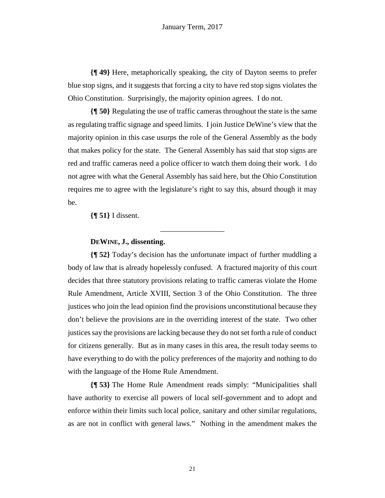**{¶ 49}** Here, metaphorically speaking, the city of Dayton seems to prefer blue stop signs, and it suggests that forcing a city to have red stop signs violates the Ohio Constitution. Surprisingly, the majority opinion agrees. I do not.

**{¶ 50}** Regulating the use of traffic cameras throughout the state is the same as regulating traffic signage and speed limits. I join Justice DeWine's view that the majority opinion in this case usurps the role of the General Assembly as the body that makes policy for the state. The General Assembly has said that stop signs are red and traffic cameras need a police officer to watch them doing their work. I do not agree with what the General Assembly has said here, but the Ohio Constitution requires me to agree with the legislature's right to say this, absurd though it may be.

 $\overline{\phantom{a}}$  , where  $\overline{\phantom{a}}$ 

**{¶ 51}** I dissent.

### **DEWINE, J., dissenting.**

**{¶ 52}** Today's decision has the unfortunate impact of further muddling a body of law that is already hopelessly confused. A fractured majority of this court decides that three statutory provisions relating to traffic cameras violate the Home Rule Amendment, Article XVIII, Section 3 of the Ohio Constitution. The three justices who join the lead opinion find the provisions unconstitutional because they don't believe the provisions are in the overriding interest of the state. Two other justices say the provisions are lacking because they do not set forth a rule of conduct for citizens generally. But as in many cases in this area, the result today seems to have everything to do with the policy preferences of the majority and nothing to do with the language of the Home Rule Amendment.

**{¶ 53}** The Home Rule Amendment reads simply: "Municipalities shall have authority to exercise all powers of local self-government and to adopt and enforce within their limits such local police, sanitary and other similar regulations, as are not in conflict with general laws." Nothing in the amendment makes the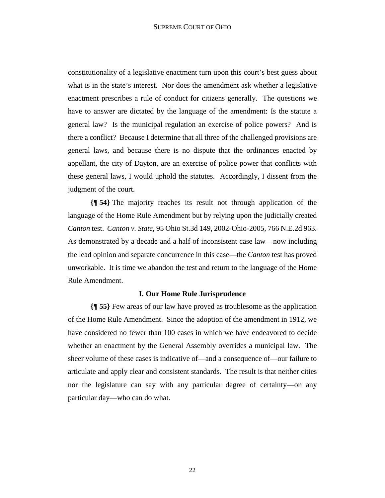constitutionality of a legislative enactment turn upon this court's best guess about what is in the state's interest. Nor does the amendment ask whether a legislative enactment prescribes a rule of conduct for citizens generally. The questions we have to answer are dictated by the language of the amendment: Is the statute a general law? Is the municipal regulation an exercise of police powers? And is there a conflict? Because I determine that all three of the challenged provisions are general laws, and because there is no dispute that the ordinances enacted by appellant, the city of Dayton, are an exercise of police power that conflicts with these general laws, I would uphold the statutes. Accordingly, I dissent from the judgment of the court.

**{¶ 54}** The majority reaches its result not through application of the language of the Home Rule Amendment but by relying upon the judicially created *Canton* test. *Canton v. State*, 95 Ohio St.3d 149, 2002-Ohio-2005, 766 N.E.2d 963. As demonstrated by a decade and a half of inconsistent case law—now including the lead opinion and separate concurrence in this case—the *Canton* test has proved unworkable. It is time we abandon the test and return to the language of the Home Rule Amendment.

#### **I. Our Home Rule Jurisprudence**

**{¶ 55}** Few areas of our law have proved as troublesome as the application of the Home Rule Amendment. Since the adoption of the amendment in 1912, we have considered no fewer than 100 cases in which we have endeavored to decide whether an enactment by the General Assembly overrides a municipal law. The sheer volume of these cases is indicative of—and a consequence of—our failure to articulate and apply clear and consistent standards. The result is that neither cities nor the legislature can say with any particular degree of certainty—on any particular day—who can do what.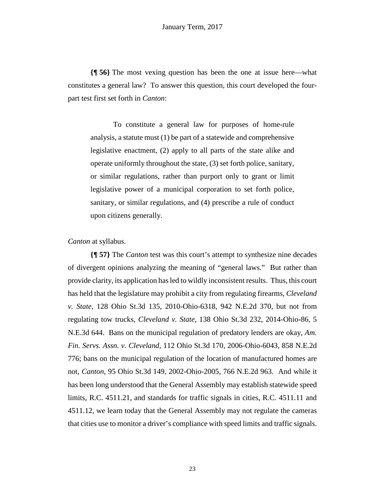**{¶ 56}** The most vexing question has been the one at issue here—what constitutes a general law? To answer this question, this court developed the fourpart test first set forth in *Canton*:

To constitute a general law for purposes of home-rule analysis, a statute must (1) be part of a statewide and comprehensive legislative enactment, (2) apply to all parts of the state alike and operate uniformly throughout the state, (3) set forth police, sanitary, or similar regulations, rather than purport only to grant or limit legislative power of a municipal corporation to set forth police, sanitary, or similar regulations, and (4) prescribe a rule of conduct upon citizens generally.

*Canton* at syllabus.

**{¶ 57}** The *Canton* test was this court's attempt to synthesize nine decades of divergent opinions analyzing the meaning of "general laws." But rather than provide clarity, its application has led to wildly inconsistent results. Thus, this court has held that the legislature may prohibit a city from regulating firearms, *Cleveland v. State,* 128 Ohio St.3d 135, 2010-Ohio-6318, 942 N.E.2d 370, but not from regulating tow trucks, *Cleveland v. State,* 138 Ohio St.3d 232, 2014-Ohio-86, 5 N.E.3d 644. Bans on the municipal regulation of predatory lenders are okay, *Am. Fin. Servs. Assn. v. Cleveland,* 112 Ohio St.3d 170, 2006-Ohio-6043, 858 N.E.2d 776; bans on the municipal regulation of the location of manufactured homes are not, *Canton*, 95 Ohio St.3d 149, 2002-Ohio-2005, 766 N.E.2d 963. And while it has been long understood that the General Assembly may establish statewide speed limits, R.C. 4511.21, and standards for traffic signals in cities, R.C. 4511.11 and 4511.12, we learn today that the General Assembly may not regulate the cameras that cities use to monitor a driver's compliance with speed limits and traffic signals.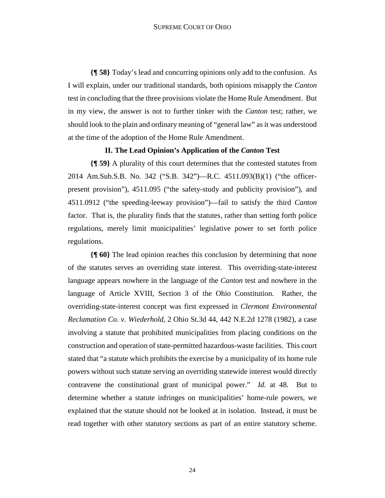**{¶ 58}** Today's lead and concurring opinions only add to the confusion. As I will explain, under our traditional standards, both opinions misapply the *Canton* test in concluding that the three provisions violate the Home Rule Amendment. But in my view, the answer is not to further tinker with the *Canton* test; rather, we should look to the plain and ordinary meaning of "general law" as it was understood at the time of the adoption of the Home Rule Amendment.

#### **II. The Lead Opinion's Application of the** *Canton* **Test**

**{¶ 59}** A plurality of this court determines that the contested statutes from 2014 Am.Sub.S.B. No. 342 ("S.B. 342")—R.C. 4511.093(B)(1) ("the officerpresent provision"), 4511.095 ("the safety-study and publicity provision"), and 4511.0912 ("the speeding-leeway provision")—fail to satisfy the third *Canton*  factor. That is, the plurality finds that the statutes, rather than setting forth police regulations, merely limit municipalities' legislative power to set forth police regulations.

**{¶ 60}** The lead opinion reaches this conclusion by determining that none of the statutes serves an overriding state interest. This overriding-state-interest language appears nowhere in the language of the *Canton* test and nowhere in the language of Article XVIII, Section 3 of the Ohio Constitution. Rather, the overriding-state-interest concept was first expressed in *Clermont Environmental Reclamation Co. v. Wiederhold*, 2 Ohio St.3d 44, 442 N.E.2d 1278 (1982), a case involving a statute that prohibited municipalities from placing conditions on the construction and operation of state-permitted hazardous-waste facilities. This court stated that "a statute which prohibits the exercise by a municipality of its home rule powers without such statute serving an overriding statewide interest would directly contravene the constitutional grant of municipal power." *Id.* at 48. But to determine whether a statute infringes on municipalities' home-rule powers, we explained that the statute should not be looked at in isolation. Instead, it must be read together with other statutory sections as part of an entire statutory scheme.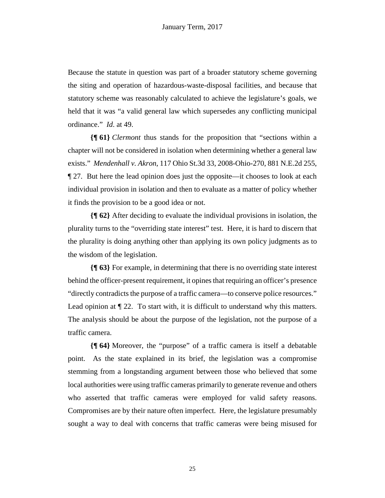Because the statute in question was part of a broader statutory scheme governing the siting and operation of hazardous-waste-disposal facilities, and because that statutory scheme was reasonably calculated to achieve the legislature's goals, we held that it was "a valid general law which supersedes any conflicting municipal ordinance." *Id*. at 49.

**{¶ 61}** *Clermont* thus stands for the proposition that "sections within a chapter will not be considered in isolation when determining whether a general law exists." *Mendenhall v. Akron*, 117 Ohio St.3d 33, 2008-Ohio-270, 881 N.E.2d 255, ¶ 27. But here the lead opinion does just the opposite—it chooses to look at each individual provision in isolation and then to evaluate as a matter of policy whether it finds the provision to be a good idea or not.

**{¶ 62}** After deciding to evaluate the individual provisions in isolation, the plurality turns to the "overriding state interest" test. Here, it is hard to discern that the plurality is doing anything other than applying its own policy judgments as to the wisdom of the legislation.

**{¶ 63}** For example, in determining that there is no overriding state interest behind the officer-present requirement, it opines that requiring an officer's presence "directly contradicts the purpose of a traffic camera—to conserve police resources." Lead opinion at  $\P$  22. To start with, it is difficult to understand why this matters. The analysis should be about the purpose of the legislation, not the purpose of a traffic camera.

**{¶ 64}** Moreover, the "purpose" of a traffic camera is itself a debatable point. As the state explained in its brief, the legislation was a compromise stemming from a longstanding argument between those who believed that some local authorities were using traffic cameras primarily to generate revenue and others who asserted that traffic cameras were employed for valid safety reasons. Compromises are by their nature often imperfect. Here, the legislature presumably sought a way to deal with concerns that traffic cameras were being misused for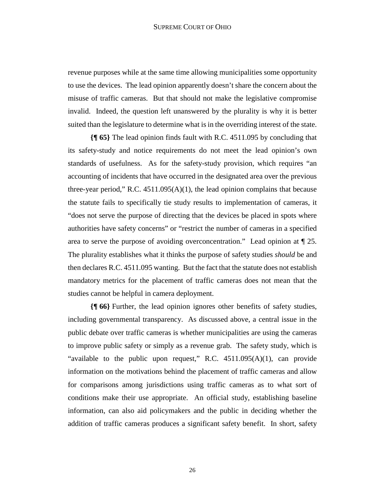#### SUPREME COURT OF OHIO

revenue purposes while at the same time allowing municipalities some opportunity to use the devices. The lead opinion apparently doesn't share the concern about the misuse of traffic cameras. But that should not make the legislative compromise invalid. Indeed, the question left unanswered by the plurality is why it is better suited than the legislature to determine what is in the overriding interest of the state.

**{¶ 65}** The lead opinion finds fault with R.C. 4511.095 by concluding that its safety-study and notice requirements do not meet the lead opinion's own standards of usefulness. As for the safety-study provision, which requires "an accounting of incidents that have occurred in the designated area over the previous three-year period," R.C.  $4511.095(A)(1)$ , the lead opinion complains that because the statute fails to specifically tie study results to implementation of cameras, it "does not serve the purpose of directing that the devices be placed in spots where authorities have safety concerns" or "restrict the number of cameras in a specified area to serve the purpose of avoiding overconcentration." Lead opinion at ¶ 25. The plurality establishes what it thinks the purpose of safety studies *should* be and then declares R.C. 4511.095 wanting. But the fact that the statute does not establish mandatory metrics for the placement of traffic cameras does not mean that the studies cannot be helpful in camera deployment.

**{¶ 66}** Further, the lead opinion ignores other benefits of safety studies, including governmental transparency. As discussed above, a central issue in the public debate over traffic cameras is whether municipalities are using the cameras to improve public safety or simply as a revenue grab. The safety study, which is "available to the public upon request," R.C.  $4511.095(A)(1)$ , can provide information on the motivations behind the placement of traffic cameras and allow for comparisons among jurisdictions using traffic cameras as to what sort of conditions make their use appropriate. An official study, establishing baseline information, can also aid policymakers and the public in deciding whether the addition of traffic cameras produces a significant safety benefit. In short, safety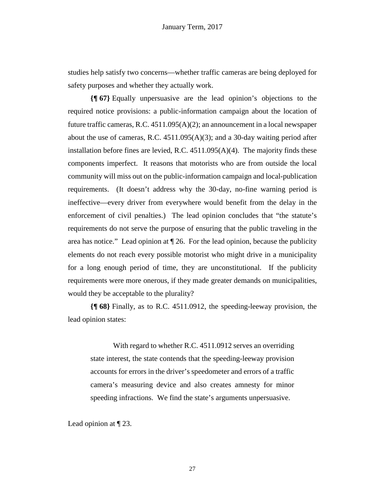studies help satisfy two concerns—whether traffic cameras are being deployed for safety purposes and whether they actually work.

**{¶ 67}** Equally unpersuasive are the lead opinion's objections to the required notice provisions: a public-information campaign about the location of future traffic cameras, R.C. 4511.095(A)(2); an announcement in a local newspaper about the use of cameras, R.C.  $4511.095(A)(3)$ ; and a 30-day waiting period after installation before fines are levied, R.C. 4511.095(A)(4). The majority finds these components imperfect. It reasons that motorists who are from outside the local community will miss out on the public-information campaign and local-publication requirements. (It doesn't address why the 30-day, no-fine warning period is ineffective—every driver from everywhere would benefit from the delay in the enforcement of civil penalties.) The lead opinion concludes that "the statute's requirements do not serve the purpose of ensuring that the public traveling in the area has notice." Lead opinion at ¶ 26. For the lead opinion, because the publicity elements do not reach every possible motorist who might drive in a municipality for a long enough period of time, they are unconstitutional. If the publicity requirements were more onerous, if they made greater demands on municipalities, would they be acceptable to the plurality?

**{¶ 68}** Finally, as to R.C. 4511.0912, the speeding-leeway provision, the lead opinion states:

With regard to whether R.C. 4511.0912 serves an overriding state interest, the state contends that the speeding-leeway provision accounts for errors in the driver's speedometer and errors of a traffic camera's measuring device and also creates amnesty for minor speeding infractions. We find the state's arguments unpersuasive.

Lead opinion at ¶ 23.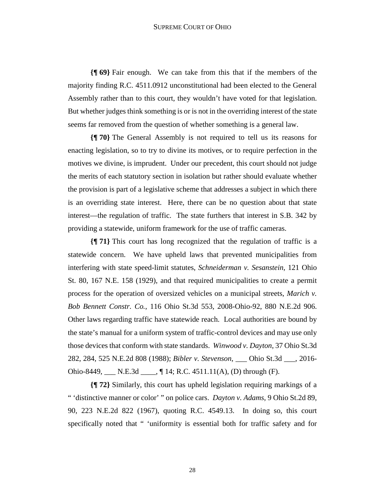#### SUPREME COURT OF OHIO

**{¶ 69}** Fair enough. We can take from this that if the members of the majority finding R.C. 4511.0912 unconstitutional had been elected to the General Assembly rather than to this court, they wouldn't have voted for that legislation. But whether judges think something is or is not in the overriding interest of the state seems far removed from the question of whether something is a general law.

**{¶ 70}** The General Assembly is not required to tell us its reasons for enacting legislation, so to try to divine its motives, or to require perfection in the motives we divine, is imprudent. Under our precedent, this court should not judge the merits of each statutory section in isolation but rather should evaluate whether the provision is part of a legislative scheme that addresses a subject in which there is an overriding state interest. Here, there can be no question about that state interest—the regulation of traffic. The state furthers that interest in S.B. 342 by providing a statewide, uniform framework for the use of traffic cameras.

**{¶ 71}** This court has long recognized that the regulation of traffic is a statewide concern. We have upheld laws that prevented municipalities from interfering with state speed-limit statutes, *Schneiderman v. Sesanstein*, 121 Ohio St. 80, 167 N.E. 158 (1929), and that required municipalities to create a permit process for the operation of oversized vehicles on a municipal streets, *Marich v. Bob Bennett Constr. Co.*, 116 Ohio St.3d 553, 2008-Ohio-92, 880 N.E.2d 906. Other laws regarding traffic have statewide reach. Local authorities are bound by the state's manual for a uniform system of traffic-control devices and may use only those devices that conform with state standards. *Winwood v. Dayton*, 37 Ohio St.3d 282, 284, 525 N.E.2d 808 (1988); *Bibler v. Stevenson*, \_\_\_ Ohio St.3d \_\_\_, 2016- Ohio-8449, \_\_\_ N.E.3d \_\_\_\_, ¶ 14; R.C. 4511.11(A), (D) through (F).

**{¶ 72}** Similarly, this court has upheld legislation requiring markings of a " 'distinctive manner or color' " on police cars. *Dayton v. Adams*, 9 Ohio St.2d 89, 90, 223 N.E.2d 822 (1967), quoting R.C. 4549.13. In doing so, this court specifically noted that " 'uniformity is essential both for traffic safety and for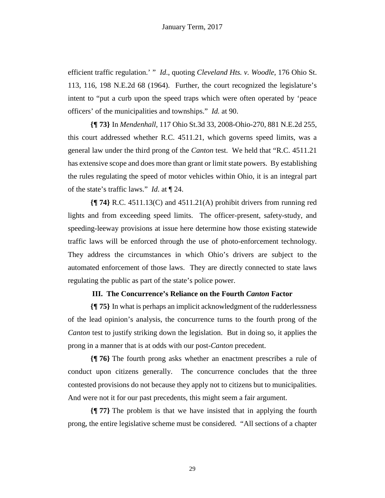efficient traffic regulation.' " *Id*., quoting *Cleveland Hts. v. Woodle*, 176 Ohio St. 113, 116, 198 N.E.2d 68 (1964). Further, the court recognized the legislature's intent to "put a curb upon the speed traps which were often operated by 'peace officers' of the municipalities and townships." *Id.* at 90.

**{¶ 73}** In *Mendenhall*, 117 Ohio St.3d 33, 2008-Ohio-270, 881 N.E.2d 255, this court addressed whether R.C. 4511.21, which governs speed limits, was a general law under the third prong of the *Canton* test. We held that "R.C. 4511.21 has extensive scope and does more than grant or limit state powers. By establishing the rules regulating the speed of motor vehicles within Ohio, it is an integral part of the state's traffic laws." *Id*. at ¶ 24.

**{¶ 74}** R.C. 4511.13(C) and 4511.21(A) prohibit drivers from running red lights and from exceeding speed limits. The officer-present, safety-study, and speeding-leeway provisions at issue here determine how those existing statewide traffic laws will be enforced through the use of photo-enforcement technology. They address the circumstances in which Ohio's drivers are subject to the automated enforcement of those laws. They are directly connected to state laws regulating the public as part of the state's police power.

#### **III. The Concurrence's Reliance on the Fourth** *Canton* **Factor**

**{¶ 75}** In what is perhaps an implicit acknowledgment of the rudderlessness of the lead opinion's analysis, the concurrence turns to the fourth prong of the *Canton* test to justify striking down the legislation. But in doing so, it applies the prong in a manner that is at odds with our post-*Canton* precedent.

**{¶ 76}** The fourth prong asks whether an enactment prescribes a rule of conduct upon citizens generally. The concurrence concludes that the three contested provisions do not because they apply not to citizens but to municipalities. And were not it for our past precedents, this might seem a fair argument.

**{¶ 77}** The problem is that we have insisted that in applying the fourth prong, the entire legislative scheme must be considered. "All sections of a chapter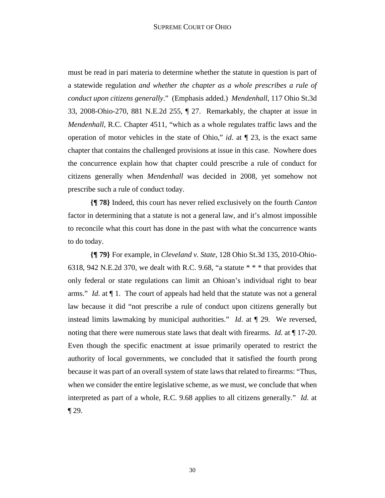must be read in pari materia to determine whether the statute in question is part of a statewide regulation *and whether the chapter as a whole prescribes a rule of conduct upon citizens generally*." (Emphasis added.) *Mendenhall*, 117 Ohio St.3d 33, 2008-Ohio-270, 881 N.E.2d 255, ¶ 27. Remarkably, the chapter at issue in *Mendenhall*, R.C. Chapter 4511, "which as a whole regulates traffic laws and the operation of motor vehicles in the state of Ohio," *id*. at ¶ 23, is the exact same chapter that contains the challenged provisions at issue in this case. Nowhere does the concurrence explain how that chapter could prescribe a rule of conduct for citizens generally when *Mendenhall* was decided in 2008, yet somehow not prescribe such a rule of conduct today.

**{¶ 78}** Indeed, this court has never relied exclusively on the fourth *Canton* factor in determining that a statute is not a general law, and it's almost impossible to reconcile what this court has done in the past with what the concurrence wants to do today.

**{¶ 79}** For example, in *Cleveland v. State*, 128 Ohio St.3d 135, 2010-Ohio-6318, 942 N.E.2d 370, we dealt with R.C. 9.68, "a statute \* \* \* that provides that only federal or state regulations can limit an Ohioan's individual right to bear arms." *Id*. at ¶ 1. The court of appeals had held that the statute was not a general law because it did "not prescribe a rule of conduct upon citizens generally but instead limits lawmaking by municipal authorities." *Id*. at ¶ 29. We reversed, noting that there were numerous state laws that dealt with firearms. *Id.* at ¶ 17-20. Even though the specific enactment at issue primarily operated to restrict the authority of local governments, we concluded that it satisfied the fourth prong because it was part of an overall system of state laws that related to firearms: "Thus, when we consider the entire legislative scheme, as we must, we conclude that when interpreted as part of a whole, R.C. 9.68 applies to all citizens generally." *Id.* at  $\P$  29.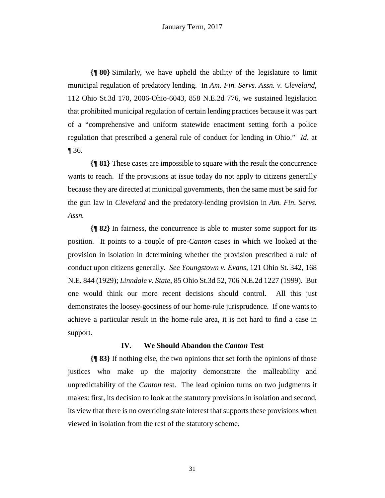**{¶ 80}** Similarly, we have upheld the ability of the legislature to limit municipal regulation of predatory lending. In *Am. Fin. Servs. Assn. v. Cleveland*, 112 Ohio St.3d 170, 2006-Ohio-6043, 858 N.E.2d 776, we sustained legislation that prohibited municipal regulation of certain lending practices because it was part of a "comprehensive and uniform statewide enactment setting forth a police regulation that prescribed a general rule of conduct for lending in Ohio." *Id*. at ¶ 36.

**{¶ 81}** These cases are impossible to square with the result the concurrence wants to reach. If the provisions at issue today do not apply to citizens generally because they are directed at municipal governments, then the same must be said for the gun law in *Cleveland* and the predatory-lending provision in *Am. Fin. Servs. Assn.*

**{¶ 82}** In fairness, the concurrence is able to muster some support for its position. It points to a couple of pre-*Canton* cases in which we looked at the provision in isolation in determining whether the provision prescribed a rule of conduct upon citizens generally. *See Youngstown v. Evans*, 121 Ohio St. 342, 168 N.E. 844 (1929); *Linndale v. State*, 85 Ohio St.3d 52, 706 N.E.2d 1227 (1999). But one would think our more recent decisions should control. All this just demonstrates the loosey-goosiness of our home-rule jurisprudence. If one wants to achieve a particular result in the home-rule area, it is not hard to find a case in support.

#### **IV. We Should Abandon the** *Canton* **Test**

**{¶ 83}** If nothing else, the two opinions that set forth the opinions of those justices who make up the majority demonstrate the malleability and unpredictability of the *Canton* test. The lead opinion turns on two judgments it makes: first, its decision to look at the statutory provisions in isolation and second, its view that there is no overriding state interest that supports these provisions when viewed in isolation from the rest of the statutory scheme.

31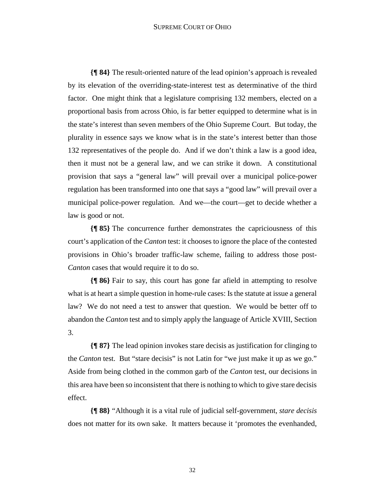#### SUPREME COURT OF OHIO

**{¶ 84}** The result-oriented nature of the lead opinion's approach is revealed by its elevation of the overriding-state-interest test as determinative of the third factor. One might think that a legislature comprising 132 members, elected on a proportional basis from across Ohio, is far better equipped to determine what is in the state's interest than seven members of the Ohio Supreme Court. But today, the plurality in essence says we know what is in the state's interest better than those 132 representatives of the people do. And if we don't think a law is a good idea, then it must not be a general law, and we can strike it down. A constitutional provision that says a "general law" will prevail over a municipal police-power regulation has been transformed into one that says a "good law" will prevail over a municipal police-power regulation. And we—the court—get to decide whether a law is good or not.

**{¶ 85}** The concurrence further demonstrates the capriciousness of this court's application of the *Canton* test: it chooses to ignore the place of the contested provisions in Ohio's broader traffic-law scheme, failing to address those post-*Canton* cases that would require it to do so.

**{¶ 86}** Fair to say, this court has gone far afield in attempting to resolve what is at heart a simple question in home-rule cases: Is the statute at issue a general law? We do not need a test to answer that question. We would be better off to abandon the *Canton* test and to simply apply the language of Article XVIII, Section 3.

**{¶ 87}** The lead opinion invokes stare decisis as justification for clinging to the *Canton* test. But "stare decisis" is not Latin for "we just make it up as we go." Aside from being clothed in the common garb of the *Canton* test, our decisions in this area have been so inconsistent that there is nothing to which to give stare decisis effect.

**{¶ 88}** "Although it is a vital rule of judicial self-government, *stare decisis* does not matter for its own sake. It matters because it 'promotes the evenhanded,

32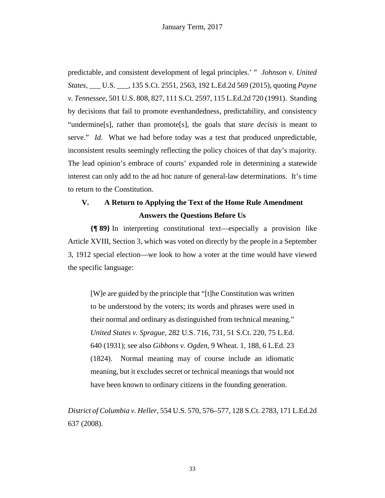predictable, and consistent development of legal principles.' " *Johnson v. United States*, \_\_\_ U.S. \_\_\_, 135 S.Ct. 2551, 2563, 192 L.Ed.2d 569 (2015), quoting *Payne v. Tennessee,* 501 U.S. 808, 827, 111 S.Ct. 2597, 115 L.Ed.2d 720 (1991). Standing by decisions that fail to promote evenhandedness, predictability, and consistency "undermine[s], rather than promote[s], the goals that *stare decisis* is meant to serve." *Id*. What we had before today was a test that produced unpredictable, inconsistent results seemingly reflecting the policy choices of that day's majority. The lead opinion's embrace of courts' expanded role in determining a statewide interest can only add to the ad hoc nature of general-law determinations. It's time to return to the Constitution.

## **V. A Return to Applying the Text of the Home Rule Amendment Answers the Questions Before Us**

**{¶ 89}** In interpreting constitutional text—especially a provision like Article XVIII, Section 3, which was voted on directly by the people in a September 3, 1912 special election—we look to how a voter at the time would have viewed the specific language:

[W]e are guided by the principle that "[t]he Constitution was written to be understood by the voters; its words and phrases were used in their normal and ordinary as distinguished from technical meaning." *United States v. Sprague,* 282 U.S. 716, 731, 51 S.Ct. 220, 75 L.Ed. 640 (1931); see also *Gibbons v. Ogden,* 9 Wheat. 1, 188, 6 L.Ed. 23 (1824). Normal meaning may of course include an idiomatic meaning, but it excludes secret or technical meanings that would not have been known to ordinary citizens in the founding generation.

*District of Columbia v. Heller*, 554 U.S. 570, 576–577, 128 S.Ct. 2783, 171 L.Ed.2d 637 (2008).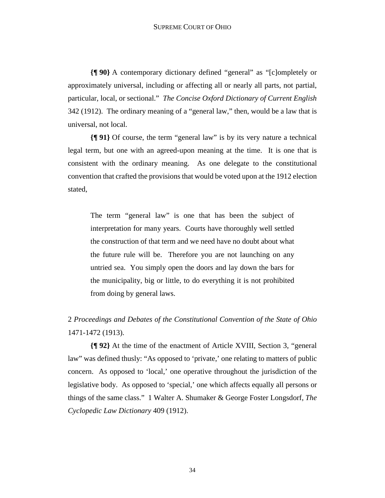#### SUPREME COURT OF OHIO

**{¶ 90}** A contemporary dictionary defined "general" as "[c]ompletely or approximately universal, including or affecting all or nearly all parts, not partial, particular, local, or sectional." *The Concise Oxford Dictionary of Current English* 342 (1912). The ordinary meaning of a "general law," then, would be a law that is universal, not local.

**{¶ 91}** Of course, the term "general law" is by its very nature a technical legal term, but one with an agreed-upon meaning at the time. It is one that is consistent with the ordinary meaning. As one delegate to the constitutional convention that crafted the provisions that would be voted upon at the 1912 election stated,

The term "general law" is one that has been the subject of interpretation for many years. Courts have thoroughly well settled the construction of that term and we need have no doubt about what the future rule will be. Therefore you are not launching on any untried sea. You simply open the doors and lay down the bars for the municipality, big or little, to do everything it is not prohibited from doing by general laws.

2 *Proceedings and Debates of the Constitutional Convention of the State of Ohio*  1471-1472 (1913).

**{¶ 92}** At the time of the enactment of Article XVIII, Section 3, "general law" was defined thusly: "As opposed to 'private,' one relating to matters of public concern. As opposed to 'local,' one operative throughout the jurisdiction of the legislative body. As opposed to 'special,' one which affects equally all persons or things of the same class." 1 Walter A. Shumaker & George Foster Longsdorf, *The Cyclopedic Law Dictionary* 409 (1912).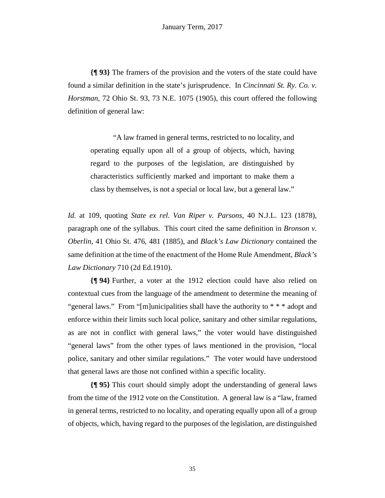**{¶ 93}** The framers of the provision and the voters of the state could have found a similar definition in the state's jurisprudence. In *Cincinnati St. Ry. Co. v. Horstman*, 72 Ohio St. 93, 73 N.E. 1075 (1905), this court offered the following definition of general law:

 "A law framed in general terms, restricted to no locality, and operating equally upon all of a group of objects, which, having regard to the purposes of the legislation, are distinguished by characteristics sufficiently marked and important to make them a class by themselves, is not a special or local law, but a general law."

*Id.* at 109, quoting *State ex rel. Van Riper v. Parsons*, 40 N.J.L. 123 (1878), paragraph one of the syllabus. This court cited the same definition in *Bronson v. Oberlin*, 41 Ohio St. 476, 481 (1885), and *Black's Law Dictionary* contained the same definition at the time of the enactment of the Home Rule Amendment, *Black's Law Dictionary* 710 (2d Ed.1910).

**{¶ 94}** Further, a voter at the 1912 election could have also relied on contextual cues from the language of the amendment to determine the meaning of "general laws." From "[m]unicipalities shall have the authority to  $**$  \* adopt and enforce within their limits such local police, sanitary and other similar regulations, as are not in conflict with general laws," the voter would have distinguished "general laws" from the other types of laws mentioned in the provision, "local police, sanitary and other similar regulations." The voter would have understood that general laws are those not confined within a specific locality.

**{¶ 95}** This court should simply adopt the understanding of general laws from the time of the 1912 vote on the Constitution. A general law is a "law, framed in general terms, restricted to no locality, and operating equally upon all of a group of objects, which, having regard to the purposes of the legislation, are distinguished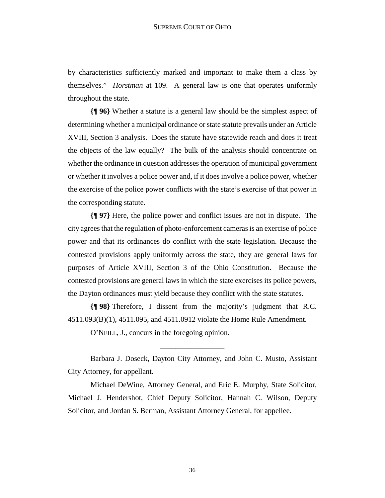by characteristics sufficiently marked and important to make them a class by themselves." *Horstman* at 109. A general law is one that operates uniformly throughout the state.

**{¶ 96}** Whether a statute is a general law should be the simplest aspect of determining whether a municipal ordinance or state statute prevails under an Article XVIII, Section 3 analysis. Does the statute have statewide reach and does it treat the objects of the law equally? The bulk of the analysis should concentrate on whether the ordinance in question addresses the operation of municipal government or whether it involves a police power and, if it does involve a police power, whether the exercise of the police power conflicts with the state's exercise of that power in the corresponding statute.

**{¶ 97}** Here, the police power and conflict issues are not in dispute. The city agrees that the regulation of photo-enforcement cameras is an exercise of police power and that its ordinances do conflict with the state legislation. Because the contested provisions apply uniformly across the state, they are general laws for purposes of Article XVIII, Section 3 of the Ohio Constitution. Because the contested provisions are general laws in which the state exercises its police powers, the Dayton ordinances must yield because they conflict with the state statutes.

**{¶ 98}** Therefore, I dissent from the majority's judgment that R.C. 4511.093(B)(1), 4511.095, and 4511.0912 violate the Home Rule Amendment.

O'NEILL, J., concurs in the foregoing opinion.

Barbara J. Doseck, Dayton City Attorney, and John C. Musto, Assistant City Attorney, for appellant.

\_\_\_\_\_\_\_\_\_\_\_\_\_\_\_\_\_

 Michael DeWine, Attorney General, and Eric E. Murphy, State Solicitor, Michael J. Hendershot, Chief Deputy Solicitor, Hannah C. Wilson, Deputy Solicitor, and Jordan S. Berman, Assistant Attorney General, for appellee.